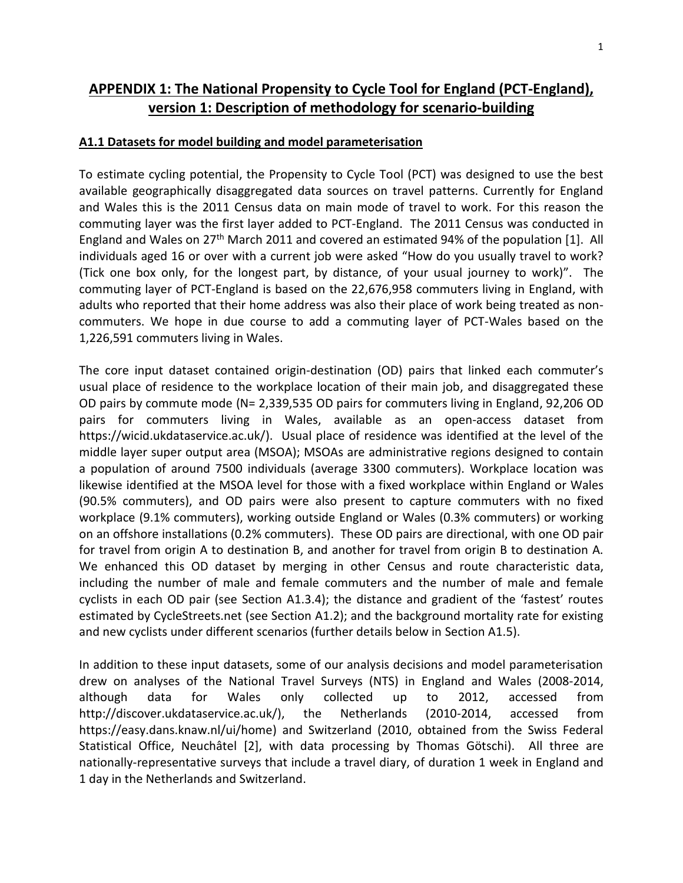# **APPENDIX 1: The National Propensity to Cycle Tool for England (PCT-England), version 1: Description of methodology for scenario-building**

### **A1.1 Datasets for model building and model parameterisation**

To estimate cycling potential, the Propensity to Cycle Tool (PCT) was designed to use the best available geographically disaggregated data sources on travel patterns. Currently for England and Wales this is the 2011 Census data on main mode of travel to work. For this reason the commuting layer was the first layer added to PCT-England. The 2011 Census was conducted in England and Wales on 27th March 2011 and covered an estimated 94% of the population [\[1\]](#page-18-0). All individuals aged 16 or over with a current job were asked "How do you usually travel to work? (Tick one box only, for the longest part, by distance, of your usual journey to work)". The commuting layer of PCT-England is based on the 22,676,958 commuters living in England, with adults who reported that their home address was also their place of work being treated as noncommuters. We hope in due course to add a commuting layer of PCT-Wales based on the 1,226,591 commuters living in Wales.

The core input dataset contained origin-destination (OD) pairs that linked each commuter's usual place of residence to the workplace location of their main job, and disaggregated these OD pairs by commute mode (N= 2,339,535 OD pairs for commuters living in England, 92,206 OD pairs for commuters living in Wales, available as an open-access dataset from https://wicid.ukdataservice.ac.uk/). Usual place of residence was identified at the level of the middle layer super output area (MSOA); MSOAs are administrative regions designed to contain a population of around 7500 individuals (average 3300 commuters). Workplace location was likewise identified at the MSOA level for those with a fixed workplace within England or Wales (90.5% commuters), and OD pairs were also present to capture commuters with no fixed workplace (9.1% commuters), working outside England or Wales (0.3% commuters) or working on an offshore installations (0.2% commuters). These OD pairs are directional, with one OD pair for travel from origin A to destination B, and another for travel from origin B to destination A. We enhanced this OD dataset by merging in other Census and route characteristic data, including the number of male and female commuters and the number of male and female cyclists in each OD pair (see Section A1.3.4); the distance and gradient of the 'fastest' routes estimated by CycleStreets.net (see Section A1.2); and the background mortality rate for existing and new cyclists under different scenarios (further details below in Section A1.5).

In addition to these input datasets, some of our analysis decisions and model parameterisation drew on analyses of the National Travel Surveys (NTS) in England and Wales (2008-2014, although data for Wales only collected up to 2012, accessed from http://discover.ukdataservice.ac.uk/), the Netherlands (2010-2014, accessed from https://easy.dans.knaw.nl/ui/home) and Switzerland (2010, obtained from the Swiss Federal Statistical Office, Neuchâtel [\[2\]](#page-18-1), with data processing by Thomas Götschi). All three are nationally-representative surveys that include a travel diary, of duration 1 week in England and 1 day in the Netherlands and Switzerland.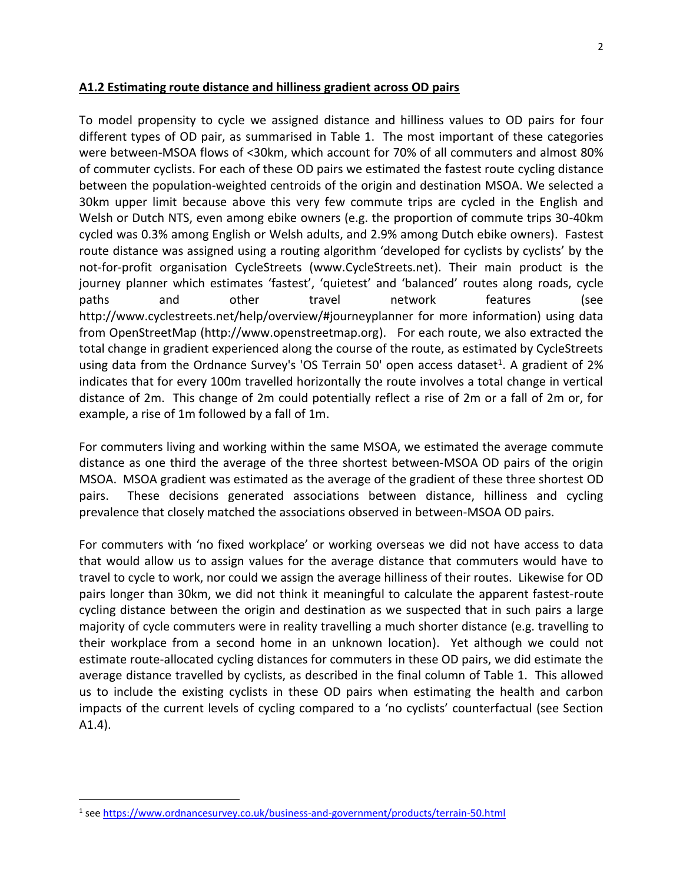### **A1.2 Estimating route distance and hilliness gradient across OD pairs**

To model propensity to cycle we assigned distance and hilliness values to OD pairs for four different types of OD pair, as summarised in [Table 1.](#page-2-0) The most important of these categories were between-MSOA flows of <30km, which account for 70% of all commuters and almost 80% of commuter cyclists. For each of these OD pairs we estimated the fastest route cycling distance between the population-weighted centroids of the origin and destination MSOA. We selected a 30km upper limit because above this very few commute trips are cycled in the English and Welsh or Dutch NTS, even among ebike owners (e.g. the proportion of commute trips 30-40km cycled was 0.3% among English or Welsh adults, and 2.9% among Dutch ebike owners). Fastest route distance was assigned using a routing algorithm 'developed for cyclists by cyclists' by the not-for-profit organisation CycleStreets (www.CycleStreets.net). Their main product is the journey planner which estimates 'fastest', 'quietest' and 'balanced' routes along roads, cycle paths and other travel network features (see http://www.cyclestreets.net/help/overview/#journeyplanner for more information) using data from OpenStreetMap (http://www.openstreetmap.org). For each route, we also extracted the total change in gradient experienced along the course of the route, as estimated by CycleStreets using data from the Ordnance Survey's 'OS Terrain 50' open access dataset<sup>1</sup>. A gradient of 2% indicates that for every 100m travelled horizontally the route involves a total change in vertical distance of 2m. This change of 2m could potentially reflect a rise of 2m or a fall of 2m or, for example, a rise of 1m followed by a fall of 1m.

For commuters living and working within the same MSOA, we estimated the average commute distance as one third the average of the three shortest between-MSOA OD pairs of the origin MSOA. MSOA gradient was estimated as the average of the gradient of these three shortest OD pairs. These decisions generated associations between distance, hilliness and cycling prevalence that closely matched the associations observed in between-MSOA OD pairs.

For commuters with 'no fixed workplace' or working overseas we did not have access to data that would allow us to assign values for the average distance that commuters would have to travel to cycle to work, nor could we assign the average hilliness of their routes. Likewise for OD pairs longer than 30km, we did not think it meaningful to calculate the apparent fastest-route cycling distance between the origin and destination as we suspected that in such pairs a large majority of cycle commuters were in reality travelling a much shorter distance (e.g. travelling to their workplace from a second home in an unknown location). Yet although we could not estimate route-allocated cycling distances for commuters in these OD pairs, we did estimate the average distance travelled by cyclists, as described in the final column of [Table 1.](#page-2-0) This allowed us to include the existing cyclists in these OD pairs when estimating the health and carbon impacts of the current levels of cycling compared to a 'no cyclists' counterfactual (see Section A1.4).

 $\overline{a}$ 

<sup>&</sup>lt;sup>1</sup> se[e https://www.ordnancesurvey.co.uk/business-and-government/products/terrain-50.html](https://www.ordnancesurvey.co.uk/business-and-government/products/terrain-50.html)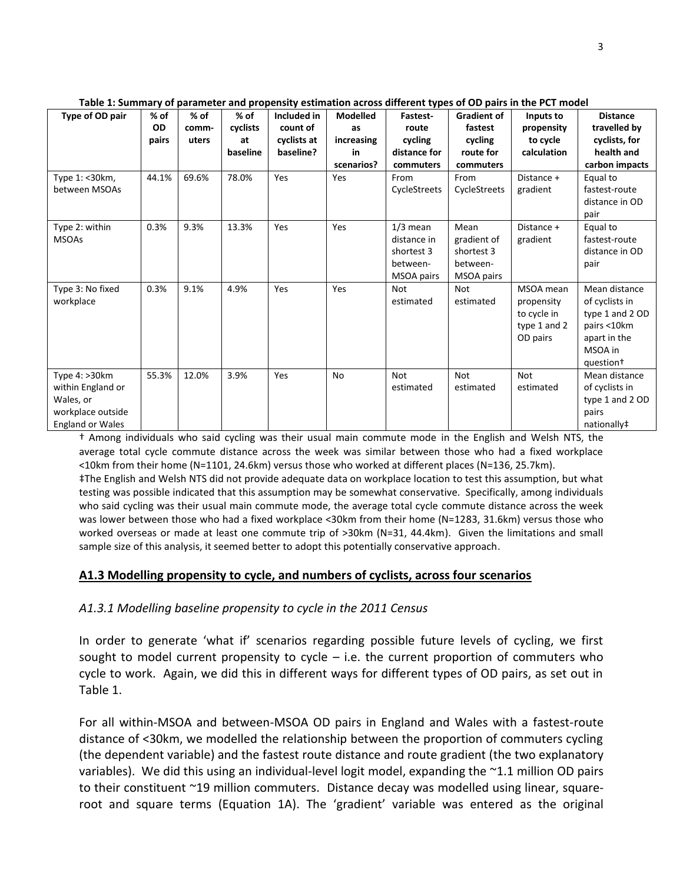|                         |                     |                 |                    |                         |                       | . .               |                               |                         |                                 |
|-------------------------|---------------------|-----------------|--------------------|-------------------------|-----------------------|-------------------|-------------------------------|-------------------------|---------------------------------|
| Type of OD pair         | $%$ of<br><b>OD</b> | $%$ of<br>comm- | $%$ of<br>cyclists | Included in<br>count of | <b>Modelled</b><br>as | Fastest-<br>route | <b>Gradient of</b><br>fastest | Inputs to<br>propensity | <b>Distance</b><br>travelled by |
|                         | pairs               | uters           | at                 | cyclists at             | increasing            | cycling           | cycling                       | to cycle                | cyclists, for                   |
|                         |                     |                 | baseline           | baseline?               | in                    | distance for      | route for                     | calculation             | health and                      |
|                         |                     |                 |                    |                         | scenarios?            | commuters         | commuters                     |                         | carbon impacts                  |
| Type 1: <30km,          | 44.1%               | 69.6%           | 78.0%              | Yes                     | Yes                   | From              | From                          | Distance +              | Equal to                        |
| between MSOAs           |                     |                 |                    |                         |                       | CycleStreets      | CycleStreets                  | gradient                | fastest-route                   |
|                         |                     |                 |                    |                         |                       |                   |                               |                         | distance in OD                  |
|                         |                     |                 |                    |                         |                       |                   |                               |                         | pair                            |
| Type 2: within          | 0.3%                | 9.3%            | 13.3%              | Yes                     | Yes                   | $1/3$ mean        | Mean                          | Distance +              | Equal to                        |
| <b>MSOAs</b>            |                     |                 |                    |                         |                       | distance in       | gradient of                   | gradient                | fastest-route                   |
|                         |                     |                 |                    |                         |                       | shortest 3        | shortest 3                    |                         | distance in OD                  |
|                         |                     |                 |                    |                         |                       | between-          | between-                      |                         | pair                            |
|                         |                     |                 |                    |                         |                       | MSOA pairs        | MSOA pairs                    |                         |                                 |
| Type 3: No fixed        | 0.3%                | 9.1%            | 4.9%               | Yes                     | Yes                   | <b>Not</b>        | Not                           | MSOA mean               | Mean distance                   |
| workplace               |                     |                 |                    |                         |                       | estimated         | estimated                     | propensity              | of cyclists in                  |
|                         |                     |                 |                    |                         |                       |                   |                               | to cycle in             | type 1 and 2 OD                 |
|                         |                     |                 |                    |                         |                       |                   |                               | type 1 and 2            | pairs <10km                     |
|                         |                     |                 |                    |                         |                       |                   |                               | OD pairs                | apart in the                    |
|                         |                     |                 |                    |                         |                       |                   |                               |                         | MSOA in                         |
|                         |                     |                 |                    |                         |                       |                   |                               |                         | question <sup>+</sup>           |
| Type $4:$ >30 $km$      | 55.3%               | 12.0%           | 3.9%               | Yes                     | <b>No</b>             | <b>Not</b>        | <b>Not</b>                    | <b>Not</b>              | Mean distance                   |
| within England or       |                     |                 |                    |                         |                       | estimated         | estimated                     | estimated               | of cyclists in                  |
| Wales, or               |                     |                 |                    |                         |                       |                   |                               |                         | type 1 and 2 OD                 |
| workplace outside       |                     |                 |                    |                         |                       |                   |                               |                         | pairs                           |
| <b>England or Wales</b> |                     |                 |                    |                         |                       |                   |                               |                         | nationally#                     |

<span id="page-2-0"></span>**Table 1: Summary of parameter and propensity estimation across different types of OD pairs in the PCT model**

† Among individuals who said cycling was their usual main commute mode in the English and Welsh NTS, the average total cycle commute distance across the week was similar between those who had a fixed workplace <10km from their home (N=1101, 24.6km) versus those who worked at different places (N=136, 25.7km).

‡The English and Welsh NTS did not provide adequate data on workplace location to test this assumption, but what testing was possible indicated that this assumption may be somewhat conservative. Specifically, among individuals who said cycling was their usual main commute mode, the average total cycle commute distance across the week was lower between those who had a fixed workplace <30km from their home (N=1283, 31.6km) versus those who worked overseas or made at least one commute trip of >30km (N=31, 44.4km). Given the limitations and small sample size of this analysis, it seemed better to adopt this potentially conservative approach.

### **A1.3 Modelling propensity to cycle, and numbers of cyclists, across four scenarios**

### *A1.3.1 Modelling baseline propensity to cycle in the 2011 Census*

In order to generate 'what if' scenarios regarding possible future levels of cycling, we first sought to model current propensity to cycle  $-$  i.e. the current proportion of commuters who cycle to work. Again, we did this in different ways for different types of OD pairs, as set out in [Table 1.](#page-2-0)

For all within-MSOA and between-MSOA OD pairs in England and Wales with a fastest-route distance of <30km, we modelled the relationship between the proportion of commuters cycling (the dependent variable) and the fastest route distance and route gradient (the two explanatory variables). We did this using an individual-level logit model, expanding the ~1.1 million OD pairs to their constituent ~19 million commuters. Distance decay was modelled using linear, squareroot and square terms (Equation 1A). The 'gradient' variable was entered as the original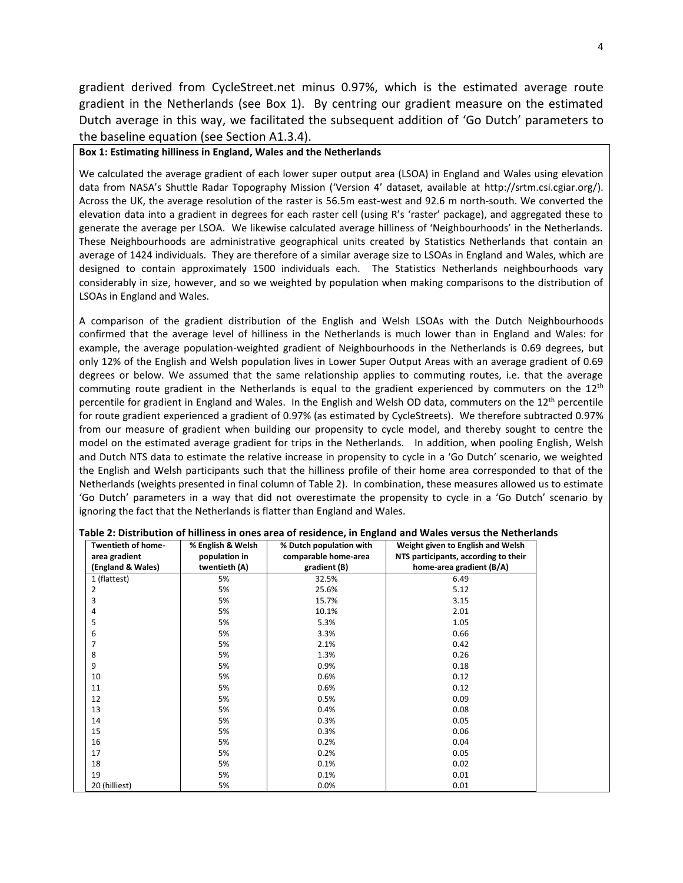gradient derived from CycleStreet.net minus 0.97%, which is the estimated average route gradient in the Netherlands (see [Box 1\)](#page-3-0). By centring our gradient measure on the estimated Dutch average in this way, we facilitated the subsequent addition of 'Go Dutch' parameters to the baseline equation (see Section A1.3.4).

#### <span id="page-3-0"></span>**Box 1: Estimating hilliness in England, Wales and the Netherlands**

We calculated the average gradient of each lower super output area (LSOA) in England and Wales using elevation data from NASA's Shuttle Radar Topography Mission ('Version 4' dataset, available at http://srtm.csi.cgiar.org/). Across the UK, the average resolution of the raster is 56.5m east-west and 92.6 m north-south. We converted the elevation data into a gradient in degrees for each raster cell (using R's 'raster' package), and aggregated these to generate the average per LSOA. We likewise calculated average hilliness of 'Neighbourhoods' in the Netherlands. These Neighbourhoods are administrative geographical units created by Statistics Netherlands that contain an average of 1424 individuals. They are therefore of a similar average size to LSOAs in England and Wales, which are designed to contain approximately 1500 individuals each. The Statistics Netherlands neighbourhoods vary considerably in size, however, and so we weighted by population when making comparisons to the distribution of LSOAs in England and Wales.

A comparison of the gradient distribution of the English and Welsh LSOAs with the Dutch Neighbourhoods confirmed that the average level of hilliness in the Netherlands is much lower than in England and Wales: for example, the average population-weighted gradient of Neighbourhoods in the Netherlands is 0.69 degrees, but only 12% of the English and Welsh population lives in Lower Super Output Areas with an average gradient of 0.69 degrees or below. We assumed that the same relationship applies to commuting routes, i.e. that the average commuting route gradient in the Netherlands is equal to the gradient experienced by commuters on the 12<sup>th</sup> percentile for gradient in England and Wales. In the English and Welsh OD data, commuters on the 12<sup>th</sup> percentile for route gradient experienced a gradient of 0.97% (as estimated by CycleStreets). We therefore subtracted 0.97% from our measure of gradient when building our propensity to cycle model, and thereby sought to centre the model on the estimated average gradient for trips in the Netherlands. In addition, when pooling English, Welsh and Dutch NTS data to estimate the relative increase in propensity to cycle in a 'Go Dutch' scenario, we weighted the English and Welsh participants such that the hilliness profile of their home area corresponded to that of the Netherlands (weights presented in final column of [Table 2\)](#page-3-1). In combination, these measures allowed us to estimate 'Go Dutch' parameters in a way that did not overestimate the propensity to cycle in a 'Go Dutch' scenario by ignoring the fact that the Netherlands is flatter than England and Wales.

| Twentieth of home-<br>area gradient | % English & Welsh<br>population in | % Dutch population with<br>comparable home-area | Weight given to English and Welsh<br>NTS participants, according to their |  |  |
|-------------------------------------|------------------------------------|-------------------------------------------------|---------------------------------------------------------------------------|--|--|
| (England & Wales)                   | twentieth (A)                      | gradient (B)                                    | home-area gradient (B/A)                                                  |  |  |
| 1 (flattest)                        | 5%                                 | 32.5%                                           | 6.49                                                                      |  |  |
| 2                                   | 5%                                 | 25.6%                                           | 5.12                                                                      |  |  |
| 3                                   | 5%                                 | 15.7%                                           | 3.15                                                                      |  |  |
| 4                                   | 5%                                 | 10.1%                                           | 2.01                                                                      |  |  |
| 5                                   | 5%                                 | 5.3%                                            | 1.05                                                                      |  |  |
| 6                                   | 5%                                 | 3.3%                                            | 0.66                                                                      |  |  |
| $\overline{7}$                      | 5%                                 | 2.1%                                            | 0.42                                                                      |  |  |
| 8                                   | 5%                                 | 1.3%                                            | 0.26                                                                      |  |  |
| 9                                   | 5%                                 | 0.9%                                            | 0.18                                                                      |  |  |
| 10                                  | 5%                                 | 0.6%                                            | 0.12                                                                      |  |  |
| 11                                  | 5%                                 | 0.6%                                            | 0.12                                                                      |  |  |
| 12                                  | 5%                                 | 0.5%                                            | 0.09                                                                      |  |  |
| 13                                  | 5%                                 | 0.4%                                            | 0.08                                                                      |  |  |
| 14                                  | 5%                                 | 0.3%                                            | 0.05                                                                      |  |  |
| 15                                  | 5%                                 | 0.3%                                            | 0.06                                                                      |  |  |
| 16                                  | 5%                                 | 0.2%                                            | 0.04                                                                      |  |  |
| 17                                  | 5%                                 | 0.2%                                            | 0.05                                                                      |  |  |
| 18                                  | 5%                                 | 0.1%                                            | 0.02                                                                      |  |  |
| 19                                  | 5%                                 | 0.1%                                            | 0.01                                                                      |  |  |
| 20 (hilliest)                       | 5%                                 | 0.0%                                            | 0.01                                                                      |  |  |

#### <span id="page-3-1"></span>**Table 2: Distribution of hilliness in ones area of residence, in England and Wales versus the Netherlands**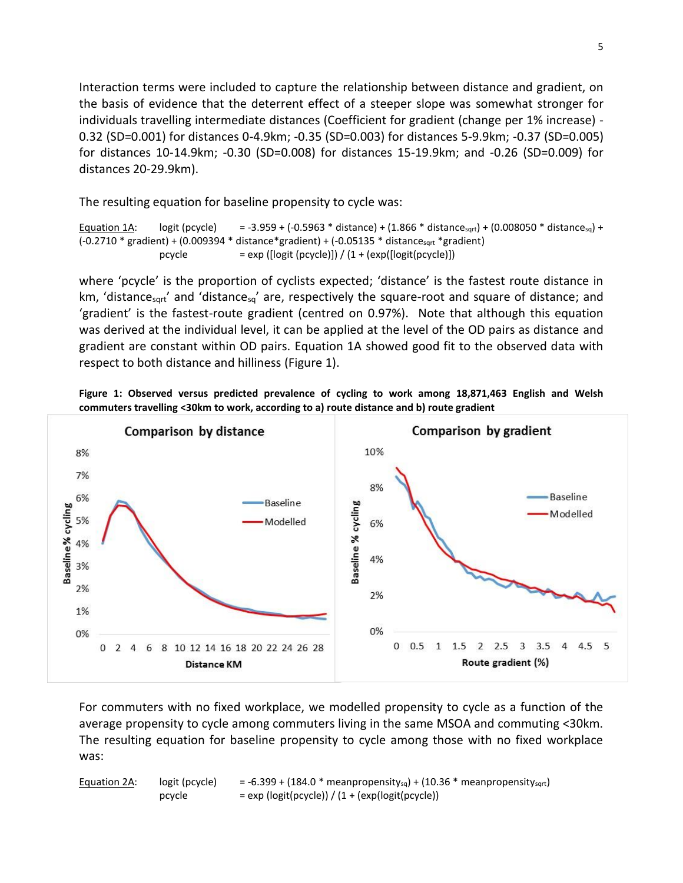Interaction terms were included to capture the relationship between distance and gradient, on the basis of evidence that the deterrent effect of a steeper slope was somewhat stronger for individuals travelling intermediate distances (Coefficient for gradient (change per 1% increase) - 0.32 (SD=0.001) for distances 0-4.9km; -0.35 (SD=0.003) for distances 5-9.9km; -0.37 (SD=0.005) for distances 10-14.9km; -0.30 (SD=0.008) for distances 15-19.9km; and -0.26 (SD=0.009) for distances 20-29.9km).

The resulting equation for baseline propensity to cycle was:

```
Equation 1A: logit (pcycle) = -3.959 + (-0.5963 * distance) + (1.866 * distance<sub>sqrt</sub>) + (0.008050 * distance<sub>sq</sub>) +
(-0.2710 * gradient) + (0.009394 * distance * gradient) + (-0.05135 * distance_{start} * gradient)pcycle = exp ([logit (pcycle)]) / (1 + (exp([logit (pcycle)])
```
where 'pcycle' is the proportion of cyclists expected; 'distance' is the fastest route distance in  $km$ , 'distance<sub>sart</sub>' and 'distance<sub>sq</sub>' are, respectively the square-root and square of distance; and 'gradient' is the fastest-route gradient (centred on 0.97%). Note that although this equation was derived at the individual level, it can be applied at the level of the OD pairs as distance and gradient are constant within OD pairs. Equation 1A showed good fit to the observed data with respect to both distance and hilliness [\(Figure 1\)](#page-4-0).

<span id="page-4-0"></span>**Figure 1: Observed versus predicted prevalence of cycling to work among 18,871,463 English and Welsh commuters travelling <30km to work, according to a) route distance and b) route gradient**



For commuters with no fixed workplace, we modelled propensity to cycle as a function of the average propensity to cycle among commuters living in the same MSOA and commuting <30km. The resulting equation for baseline propensity to cycle among those with no fixed workplace was:

Equation 2A: logit (pcycle) = -6.399 + (184.0  $*$  meanpropensity<sub>sq</sub>) + (10.36  $*$  meanpropensity<sub>sqrt</sub>) pcycle  $= exp (logit(pcycle)) / (1 + (exp(logit(pcycle)))$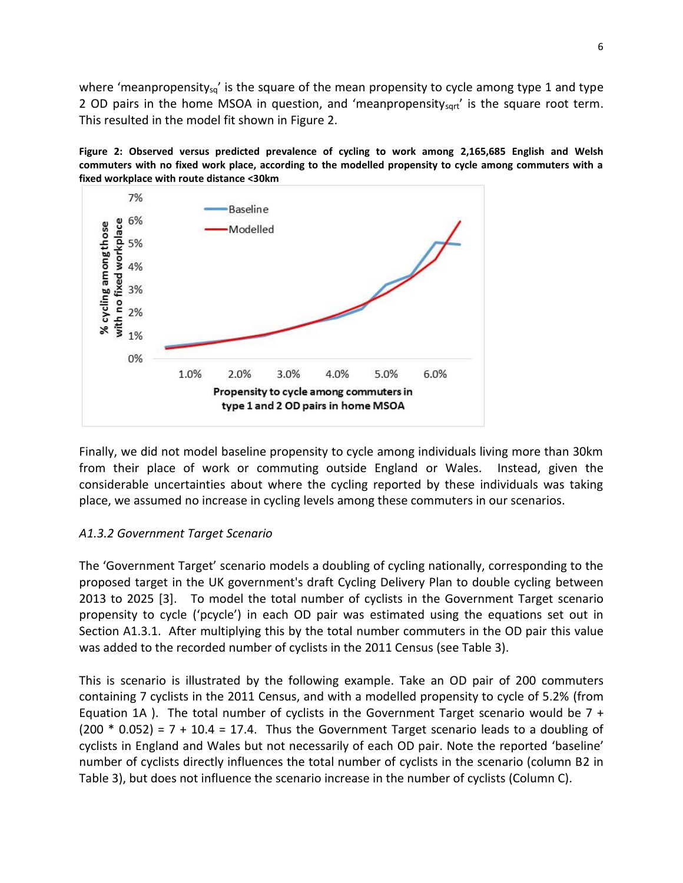where 'meanpropensity<sub>sq</sub>' is the square of the mean propensity to cycle among type 1 and type 2 OD pairs in the home MSOA in question, and 'meanpropensitysqrt' is the square root term. This resulted in the model fit shown in [Figure 2.](#page-5-0)

<span id="page-5-0"></span>



Finally, we did not model baseline propensity to cycle among individuals living more than 30km from their place of work or commuting outside England or Wales. Instead, given the considerable uncertainties about where the cycling reported by these individuals was taking place, we assumed no increase in cycling levels among these commuters in our scenarios.

## *A1.3.2 Government Target Scenario*

The 'Government Target' scenario models a doubling of cycling nationally, corresponding to the proposed target in the UK government's draft Cycling Delivery Plan to double cycling between 2013 to 2025 [\[3\]](#page-18-2). To model the total number of cyclists in the Government Target scenario propensity to cycle ('pcycle') in each OD pair was estimated using the equations set out in Section A1.3.1. After multiplying this by the total number commuters in the OD pair this value was added to the recorded number of cyclists in the 2011 Census (see [Table 3\)](#page-6-0).

This is scenario is illustrated by the following example. Take an OD pair of 200 commuters containing 7 cyclists in the 2011 Census, and with a modelled propensity to cycle of 5.2% (from Equation 1A ). The total number of cyclists in the Government Target scenario would be  $7 +$  $(200 * 0.052) = 7 + 10.4 = 17.4$ . Thus the Government Target scenario leads to a doubling of cyclists in England and Wales but not necessarily of each OD pair. Note the reported 'baseline' number of cyclists directly influences the total number of cyclists in the scenario (column B2 in [Table 3\)](#page-6-0), but does not influence the scenario increase in the number of cyclists (Column C).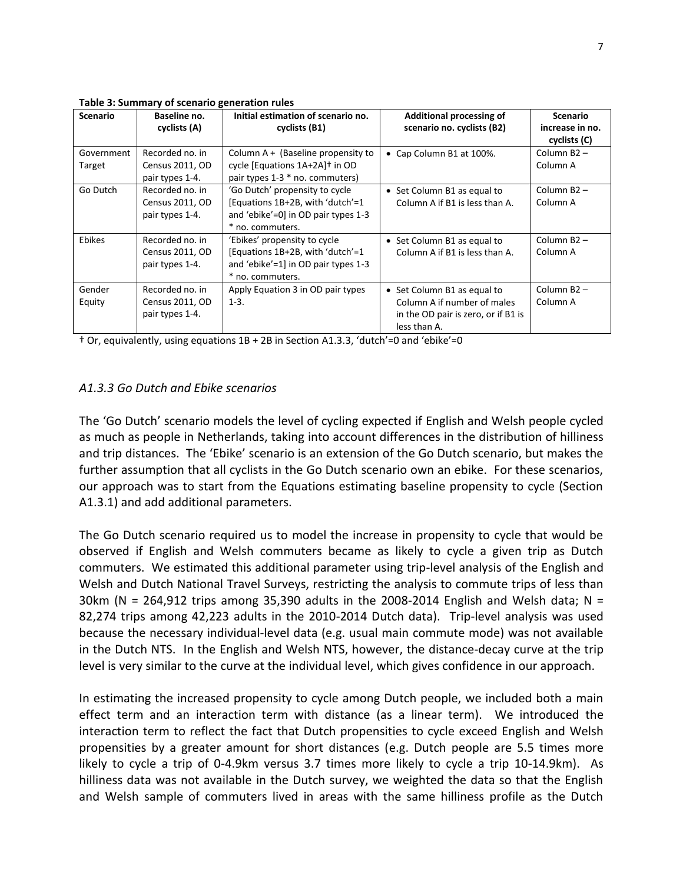| <b>Scenario</b> | Baseline no.    | Initial estimation of scenario no.         | <b>Additional processing of</b>     | <b>Scenario</b>         |
|-----------------|-----------------|--------------------------------------------|-------------------------------------|-------------------------|
|                 | cyclists (A)    | cyclists (B1)                              | scenario no. cyclists (B2)          | increase in no.         |
|                 |                 |                                            |                                     | cyclists (C)            |
| Government      | Recorded no. in | Column $A +$ (Baseline propensity to       | • Cap Column B1 at 100%.            | Column $B2 -$           |
| Target          | Census 2011, OD | cycle [Equations 1A+2A] <sup>+</sup> in OD |                                     | Column A                |
|                 | pair types 1-4. | pair types 1-3 * no. commuters)            |                                     |                         |
| Go Dutch        | Recorded no. in | 'Go Dutch' propensity to cycle             | • Set Column B1 as equal to         | Column B <sub>2</sub> - |
|                 | Census 2011, OD | [Equations 1B+2B, with 'dutch'=1           | Column A if B1 is less than A.      | Column A                |
|                 | pair types 1-4. | and 'ebike'=0] in OD pair types 1-3        |                                     |                         |
|                 |                 | * no. commuters.                           |                                     |                         |
| Ebikes          | Recorded no. in | 'Ebikes' propensity to cycle               | • Set Column B1 as equal to         | Column B <sub>2</sub> - |
|                 | Census 2011, OD | [Equations 1B+2B, with 'dutch'=1           | Column A if B1 is less than A.      | Column A                |
|                 | pair types 1-4. | and 'ebike'=1] in OD pair types 1-3        |                                     |                         |
|                 |                 | * no. commuters.                           |                                     |                         |
| Gender          | Recorded no. in | Apply Equation 3 in OD pair types          | • Set Column B1 as equal to         | Column B <sub>2</sub> - |
| Equity          | Census 2011, OD | $1-3.$                                     | Column A if number of males         | Column A                |
|                 | pair types 1-4. |                                            | in the OD pair is zero, or if B1 is |                         |
|                 |                 |                                            | less than A.                        |                         |

<span id="page-6-0"></span>**Table 3: Summary of scenario generation rules**

† Or, equivalently, using equations 1B + 2B in Section A1.3.3, 'dutch'=0 and 'ebike'=0

### *A1.3.3 Go Dutch and Ebike scenarios*

The 'Go Dutch' scenario models the level of cycling expected if English and Welsh people cycled as much as people in Netherlands, taking into account differences in the distribution of hilliness and trip distances. The 'Ebike' scenario is an extension of the Go Dutch scenario, but makes the further assumption that all cyclists in the Go Dutch scenario own an ebike. For these scenarios, our approach was to start from the Equations estimating baseline propensity to cycle (Section A1.3.1) and add additional parameters.

The Go Dutch scenario required us to model the increase in propensity to cycle that would be observed if English and Welsh commuters became as likely to cycle a given trip as Dutch commuters. We estimated this additional parameter using trip-level analysis of the English and Welsh and Dutch National Travel Surveys, restricting the analysis to commute trips of less than 30km (N = 264,912 trips among 35,390 adults in the 2008-2014 English and Welsh data; N = 82,274 trips among 42,223 adults in the 2010-2014 Dutch data). Trip-level analysis was used because the necessary individual-level data (e.g. usual main commute mode) was not available in the Dutch NTS. In the English and Welsh NTS, however, the distance-decay curve at the trip level is very similar to the curve at the individual level, which gives confidence in our approach.

In estimating the increased propensity to cycle among Dutch people, we included both a main effect term and an interaction term with distance (as a linear term). We introduced the interaction term to reflect the fact that Dutch propensities to cycle exceed English and Welsh propensities by a greater amount for short distances (e.g. Dutch people are 5.5 times more likely to cycle a trip of 0-4.9km versus 3.7 times more likely to cycle a trip 10-14.9km). As hilliness data was not available in the Dutch survey, we weighted the data so that the English and Welsh sample of commuters lived in areas with the same hilliness profile as the Dutch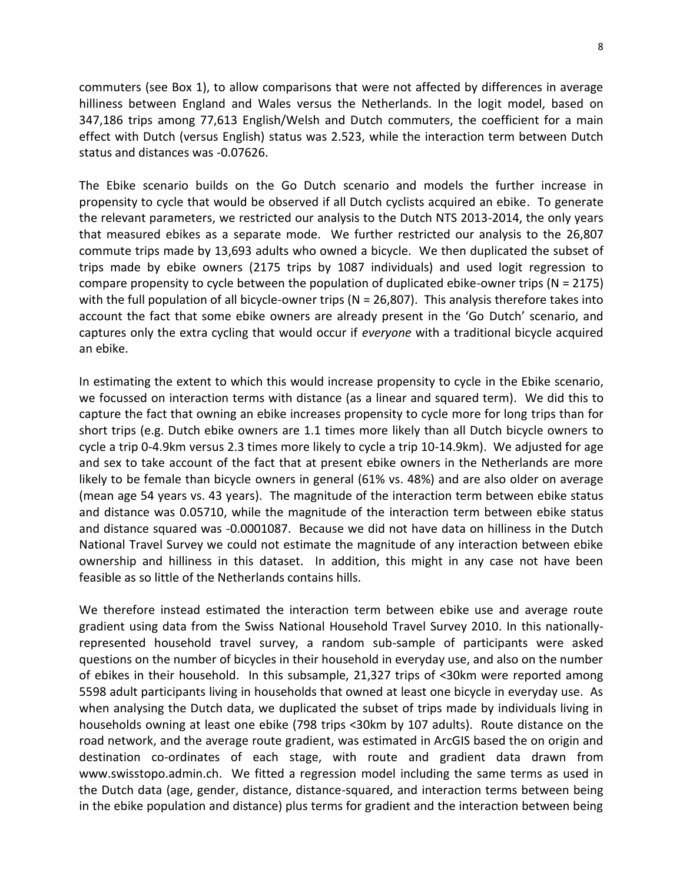commuters (see [Box 1\)](#page-3-0), to allow comparisons that were not affected by differences in average hilliness between England and Wales versus the Netherlands. In the logit model, based on 347,186 trips among 77,613 English/Welsh and Dutch commuters, the coefficient for a main effect with Dutch (versus English) status was 2.523, while the interaction term between Dutch status and distances was -0.07626.

The Ebike scenario builds on the Go Dutch scenario and models the further increase in propensity to cycle that would be observed if all Dutch cyclists acquired an ebike. To generate the relevant parameters, we restricted our analysis to the Dutch NTS 2013-2014, the only years that measured ebikes as a separate mode. We further restricted our analysis to the 26,807 commute trips made by 13,693 adults who owned a bicycle. We then duplicated the subset of trips made by ebike owners (2175 trips by 1087 individuals) and used logit regression to compare propensity to cycle between the population of duplicated ebike-owner trips (N = 2175) with the full population of all bicycle-owner trips ( $N = 26,807$ ). This analysis therefore takes into account the fact that some ebike owners are already present in the 'Go Dutch' scenario, and captures only the extra cycling that would occur if *everyone* with a traditional bicycle acquired an ebike.

In estimating the extent to which this would increase propensity to cycle in the Ebike scenario, we focussed on interaction terms with distance (as a linear and squared term). We did this to capture the fact that owning an ebike increases propensity to cycle more for long trips than for short trips (e.g. Dutch ebike owners are 1.1 times more likely than all Dutch bicycle owners to cycle a trip 0-4.9km versus 2.3 times more likely to cycle a trip 10-14.9km). We adjusted for age and sex to take account of the fact that at present ebike owners in the Netherlands are more likely to be female than bicycle owners in general (61% vs. 48%) and are also older on average (mean age 54 years vs. 43 years). The magnitude of the interaction term between ebike status and distance was 0.05710, while the magnitude of the interaction term between ebike status and distance squared was -0.0001087. Because we did not have data on hilliness in the Dutch National Travel Survey we could not estimate the magnitude of any interaction between ebike ownership and hilliness in this dataset. In addition, this might in any case not have been feasible as so little of the Netherlands contains hills.

We therefore instead estimated the interaction term between ebike use and average route gradient using data from the Swiss National Household Travel Survey 2010. In this nationallyrepresented household travel survey, a random sub-sample of participants were asked questions on the number of bicycles in their household in everyday use, and also on the number of ebikes in their household. In this subsample, 21,327 trips of <30km were reported among 5598 adult participants living in households that owned at least one bicycle in everyday use. As when analysing the Dutch data, we duplicated the subset of trips made by individuals living in households owning at least one ebike (798 trips <30km by 107 adults). Route distance on the road network, and the average route gradient, was estimated in ArcGIS based the on origin and destination co-ordinates of each stage, with route and gradient data drawn from www.swisstopo.admin.ch. We fitted a regression model including the same terms as used in the Dutch data (age, gender, distance, distance-squared, and interaction terms between being in the ebike population and distance) plus terms for gradient and the interaction between being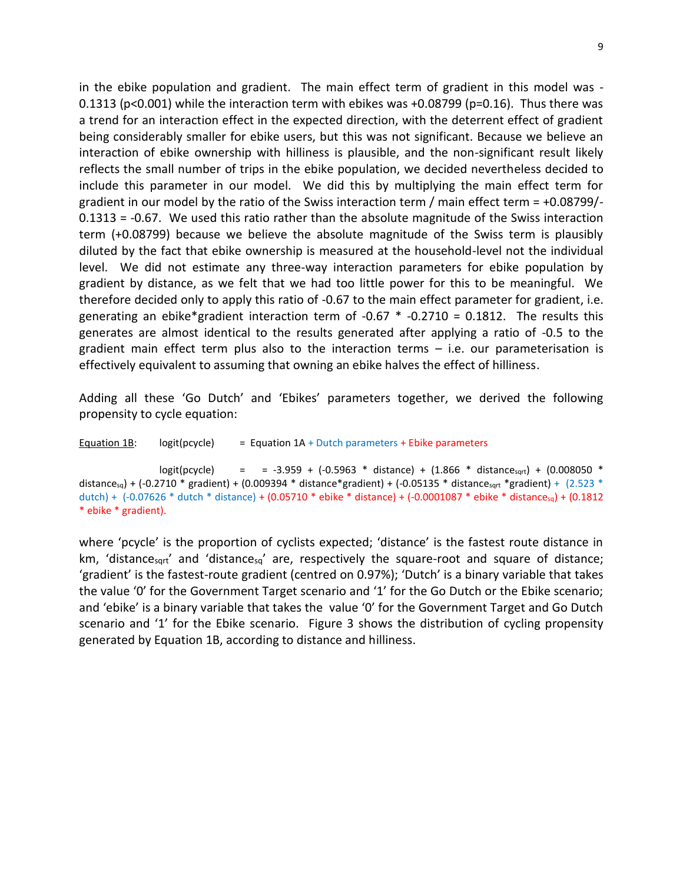in the ebike population and gradient. The main effect term of gradient in this model was - 0.1313 (p<0.001) while the interaction term with ebikes was +0.08799 (p=0.16). Thus there was a trend for an interaction effect in the expected direction, with the deterrent effect of gradient being considerably smaller for ebike users, but this was not significant. Because we believe an interaction of ebike ownership with hilliness is plausible, and the non-significant result likely reflects the small number of trips in the ebike population, we decided nevertheless decided to include this parameter in our model. We did this by multiplying the main effect term for gradient in our model by the ratio of the Swiss interaction term / main effect term = +0.08799/- 0.1313 = -0.67. We used this ratio rather than the absolute magnitude of the Swiss interaction term (+0.08799) because we believe the absolute magnitude of the Swiss term is plausibly diluted by the fact that ebike ownership is measured at the household-level not the individual level. We did not estimate any three-way interaction parameters for ebike population by gradient by distance, as we felt that we had too little power for this to be meaningful. We therefore decided only to apply this ratio of -0.67 to the main effect parameter for gradient, i.e. generating an ebike\*gradient interaction term of  $-0.67 * -0.2710 = 0.1812$ . The results this generates are almost identical to the results generated after applying a ratio of -0.5 to the gradient main effect term plus also to the interaction terms – i.e. our parameterisation is effectively equivalent to assuming that owning an ebike halves the effect of hilliness.

Adding all these 'Go Dutch' and 'Ebikes' parameters together, we derived the following propensity to cycle equation:

#### **Equation 1B:** logit(pcycle) = Equation  $1A +$  Dutch parameters + Ebike parameters

 $logit(pcycle)$  =  $=$  -3.959 + (-0.5963 \* distance) + (1.866 \* distance<sub>sqrt</sub>) + (0.008050 \* distance<sub>sq</sub>) + (-0.2710 \* gradient) + (0.009394 \* distance\*gradient) + (-0.05135 \* distance<sub>sqrt</sub> \*gradient) + (2.523 \* dutch) + (-0.07626 \* dutch \* distance) + (0.05710 \* ebike \* distance) + (-0.0001087 \* ebike \* distancesq) + (0.1812 \* ebike \* gradient).

where 'pcycle' is the proportion of cyclists expected; 'distance' is the fastest route distance in km, 'distance<sub>sqrt</sub>' and 'distance<sub>sq</sub>' are, respectively the square-root and square of distance; 'gradient' is the fastest-route gradient (centred on 0.97%); 'Dutch' is a binary variable that takes the value '0' for the Government Target scenario and '1' for the Go Dutch or the Ebike scenario; and 'ebike' is a binary variable that takes the value '0' for the Government Target and Go Dutch scenario and '1' for the Ebike scenario. [Figure 3](#page-9-0) shows the distribution of cycling propensity generated by Equation 1B, according to distance and hilliness.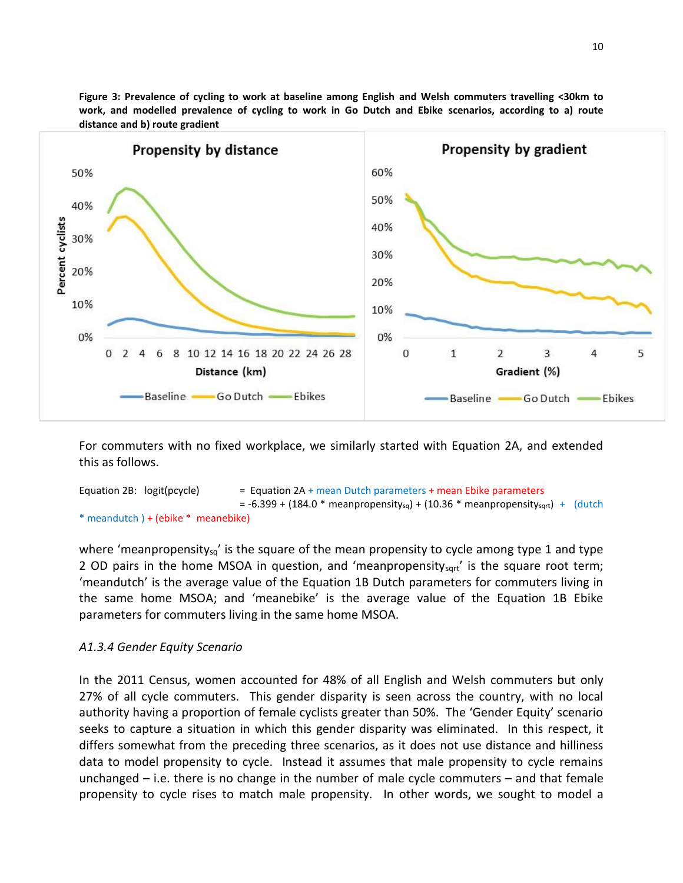

<span id="page-9-0"></span>**Figure 3: Prevalence of cycling to work at baseline among English and Welsh commuters travelling <30km to** 

For commuters with no fixed workplace, we similarly started with Equation 2A, and extended this as follows.

```
Equation 2B: logit(pcycle) = Equation 2A + mean Dutch parameters + mean Ebike parameters
                                   = -6.399 + (184.0 * meanpropensity<sub>sq</sub>) + (10.36 * meanpropensity<sub>sqrt</sub>) + (dutch)* meandutch ) + (ebike * meanebike)
```
where 'meanpropensity<sub>sq</sub>' is the square of the mean propensity to cycle among type 1 and type 2 OD pairs in the home MSOA in question, and 'meanpropensity sqrt' is the square root term; 'meandutch' is the average value of the Equation 1B Dutch parameters for commuters living in the same home MSOA; and 'meanebike' is the average value of the Equation 1B Ebike parameters for commuters living in the same home MSOA.

## *A1.3.4 Gender Equity Scenario*

In the 2011 Census, women accounted for 48% of all English and Welsh commuters but only 27% of all cycle commuters. This gender disparity is seen across the country, with no local authority having a proportion of female cyclists greater than 50%. The 'Gender Equity' scenario seeks to capture a situation in which this gender disparity was eliminated. In this respect, it differs somewhat from the preceding three scenarios, as it does not use distance and hilliness data to model propensity to cycle. Instead it assumes that male propensity to cycle remains unchanged – i.e. there is no change in the number of male cycle commuters – and that female propensity to cycle rises to match male propensity. In other words, we sought to model a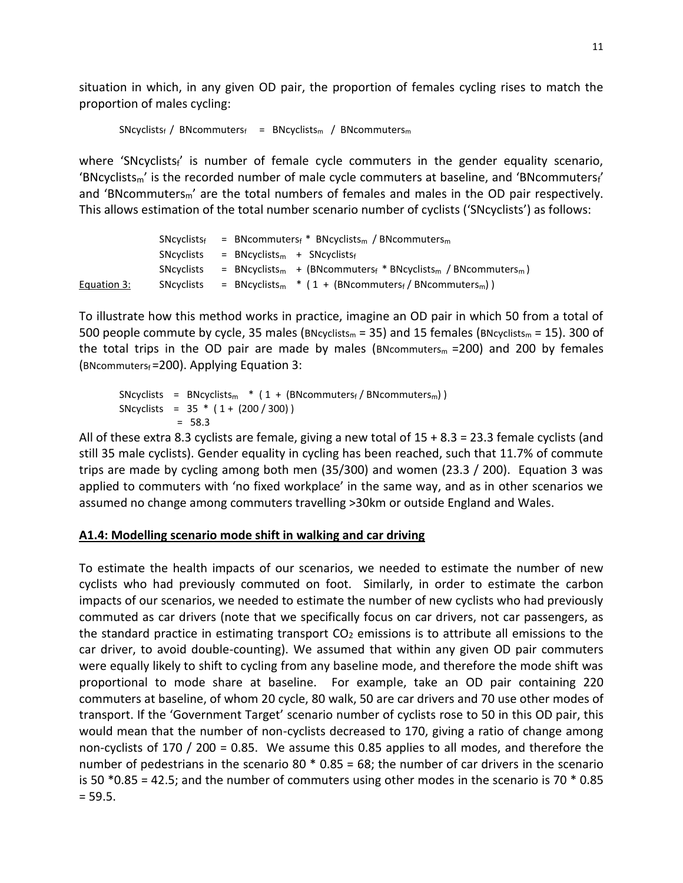situation in which, in any given OD pair, the proportion of females cycling rises to match the proportion of males cycling:

```
SNcyclists<sub>f</sub> / BNcommuters<sub>f</sub> = BNcyclists<sub>m</sub> / BNcommuters<sub>m</sub>
```
where 'SNcyclists<sub>f</sub>' is number of female cycle commuters in the gender equality scenario, 'BNcyclists<sub>m</sub>' is the recorded number of male cycle commuters at baseline, and 'BNcommuters<sub>f</sub>' and 'BNcommuters<sub>m</sub>' are the total numbers of females and males in the OD pair respectively. This allows estimation of the total number scenario number of cyclists ('SNcyclists') as follows:

|             | <b>SNCVClistsf</b> | = BNcommuters <sub>f</sub> * BNcyclists <sub>m</sub> / BNcommuters <sub>m</sub>                     |  |
|-------------|--------------------|-----------------------------------------------------------------------------------------------------|--|
|             | SNcyclists         | $=$ BNcyclists <sub>m</sub> + SNcyclists <sub>f</sub>                                               |  |
|             | <b>SNCVCLISTS</b>  | = $BNCvclists_m$ + (BNcommuters <sub>f</sub> * BNcyclists <sub>m</sub> / BNcommuters <sub>m</sub> ) |  |
| Equation 3: | SNcyclists         | = $BNCyclists_m$ * (1 + (BNcommuters <sub>f</sub> / BNcommuters <sub>m</sub> ))                     |  |

To illustrate how this method works in practice, imagine an OD pair in which 50 from a total of 500 people commute by cycle, 35 males (BNcyclists<sub>m</sub> = 35) and 15 females (BNcyclists<sub>m</sub> = 15). 300 of the total trips in the OD pair are made by males (BNcommuters $<sub>m</sub>$  =200) and 200 by females</sub> (BNcommuters $_f$ =200). Applying Equation 3:

```
SNcyclists = BNCyclists_m * (1 + (BNCommuters_f/BNCommuters_m))SNcyclists = 35 * (1 + (200 / 300))= 58.3
```
All of these extra 8.3 cyclists are female, giving a new total of 15 + 8.3 = 23.3 female cyclists (and still 35 male cyclists). Gender equality in cycling has been reached, such that 11.7% of commute trips are made by cycling among both men (35/300) and women (23.3 / 200). Equation 3 was applied to commuters with 'no fixed workplace' in the same way, and as in other scenarios we assumed no change among commuters travelling >30km or outside England and Wales.

## **A1.4: Modelling scenario mode shift in walking and car driving**

To estimate the health impacts of our scenarios, we needed to estimate the number of new cyclists who had previously commuted on foot. Similarly, in order to estimate the carbon impacts of our scenarios, we needed to estimate the number of new cyclists who had previously commuted as car drivers (note that we specifically focus on car drivers, not car passengers, as the standard practice in estimating transport  $CO<sub>2</sub>$  emissions is to attribute all emissions to the car driver, to avoid double-counting). We assumed that within any given OD pair commuters were equally likely to shift to cycling from any baseline mode, and therefore the mode shift was proportional to mode share at baseline. For example, take an OD pair containing 220 commuters at baseline, of whom 20 cycle, 80 walk, 50 are car drivers and 70 use other modes of transport. If the 'Government Target' scenario number of cyclists rose to 50 in this OD pair, this would mean that the number of non-cyclists decreased to 170, giving a ratio of change among non-cyclists of 170 / 200 = 0.85. We assume this 0.85 applies to all modes, and therefore the number of pedestrians in the scenario 80  $*$  0.85 = 68; the number of car drivers in the scenario is 50 \*0.85 = 42.5; and the number of commuters using other modes in the scenario is 70 \* 0.85  $= 59.5.$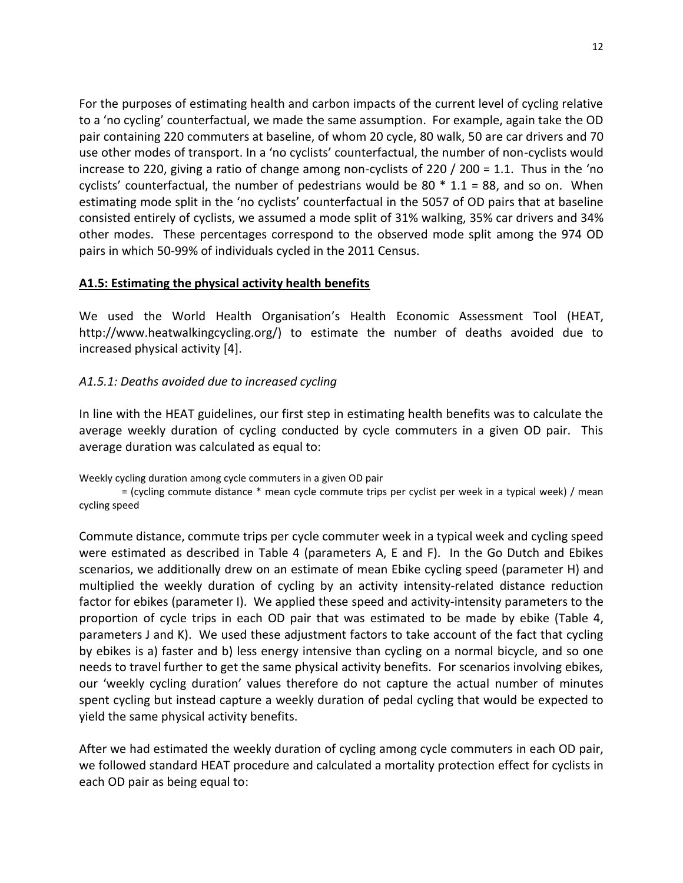For the purposes of estimating health and carbon impacts of the current level of cycling relative to a 'no cycling' counterfactual, we made the same assumption. For example, again take the OD pair containing 220 commuters at baseline, of whom 20 cycle, 80 walk, 50 are car drivers and 70 use other modes of transport. In a 'no cyclists' counterfactual, the number of non-cyclists would increase to 220, giving a ratio of change among non-cyclists of 220 / 200 = 1.1. Thus in the 'no cyclists' counterfactual, the number of pedestrians would be 80  $*$  1.1 = 88, and so on. When estimating mode split in the 'no cyclists' counterfactual in the 5057 of OD pairs that at baseline consisted entirely of cyclists, we assumed a mode split of 31% walking, 35% car drivers and 34% other modes. These percentages correspond to the observed mode split among the 974 OD pairs in which 50-99% of individuals cycled in the 2011 Census.

## **A1.5: Estimating the physical activity health benefits**

We used the World Health Organisation's Health Economic Assessment Tool (HEAT, http://www.heatwalkingcycling.org/) to estimate the number of deaths avoided due to increased physical activity [\[4\]](#page-18-3).

## *A1.5.1: Deaths avoided due to increased cycling*

In line with the HEAT guidelines, our first step in estimating health benefits was to calculate the average weekly duration of cycling conducted by cycle commuters in a given OD pair. This average duration was calculated as equal to:

Weekly cycling duration among cycle commuters in a given OD pair

= (cycling commute distance \* mean cycle commute trips per cyclist per week in a typical week) / mean cycling speed

Commute distance, commute trips per cycle commuter week in a typical week and cycling speed were estimated as described in [Table 4](#page-14-0) (parameters A, E and F). In the Go Dutch and Ebikes scenarios, we additionally drew on an estimate of mean Ebike cycling speed (parameter H) and multiplied the weekly duration of cycling by an activity intensity-related distance reduction factor for ebikes (parameter I). We applied these speed and activity-intensity parameters to the proportion of cycle trips in each OD pair that was estimated to be made by ebike [\(Table 4,](#page-14-0) parameters J and K). We used these adjustment factors to take account of the fact that cycling by ebikes is a) faster and b) less energy intensive than cycling on a normal bicycle, and so one needs to travel further to get the same physical activity benefits. For scenarios involving ebikes, our 'weekly cycling duration' values therefore do not capture the actual number of minutes spent cycling but instead capture a weekly duration of pedal cycling that would be expected to yield the same physical activity benefits.

After we had estimated the weekly duration of cycling among cycle commuters in each OD pair, we followed standard HEAT procedure and calculated a mortality protection effect for cyclists in each OD pair as being equal to: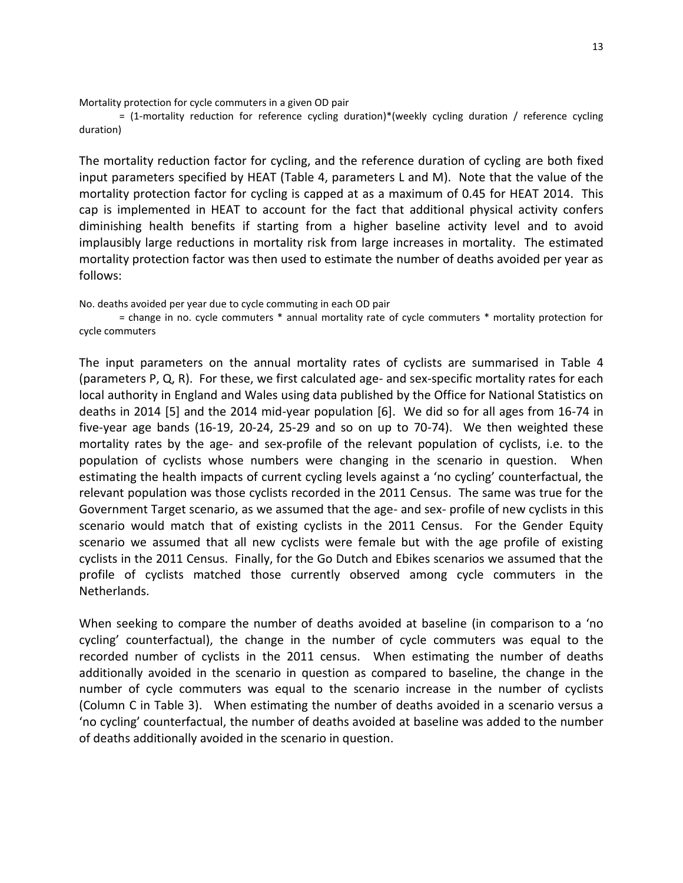Mortality protection for cycle commuters in a given OD pair

= (1-mortality reduction for reference cycling duration)\*(weekly cycling duration / reference cycling duration)

The mortality reduction factor for cycling, and the reference duration of cycling are both fixed input parameters specified by HEAT [\(Table 4,](#page-14-0) parameters L and M). Note that the value of the mortality protection factor for cycling is capped at as a maximum of 0.45 for HEAT 2014. This cap is implemented in HEAT to account for the fact that additional physical activity confers diminishing health benefits if starting from a higher baseline activity level and to avoid implausibly large reductions in mortality risk from large increases in mortality. The estimated mortality protection factor was then used to estimate the number of deaths avoided per year as follows:

No. deaths avoided per year due to cycle commuting in each OD pair

= change in no. cycle commuters \* annual mortality rate of cycle commuters \* mortality protection for cycle commuters

The input parameters on the annual mortality rates of cyclists are summarised in [Table 4](#page-14-0) (parameters P, Q, R). For these, we first calculated age- and sex-specific mortality rates for each local authority in England and Wales using data published by the Office for National Statistics on deaths in 2014 [\[5\]](#page-18-4) and the 2014 mid-year population [\[6\]](#page-18-5). We did so for all ages from 16-74 in five-year age bands (16-19, 20-24, 25-29 and so on up to 70-74). We then weighted these mortality rates by the age- and sex-profile of the relevant population of cyclists, i.e. to the population of cyclists whose numbers were changing in the scenario in question. When estimating the health impacts of current cycling levels against a 'no cycling' counterfactual, the relevant population was those cyclists recorded in the 2011 Census. The same was true for the Government Target scenario, as we assumed that the age- and sex- profile of new cyclists in this scenario would match that of existing cyclists in the 2011 Census. For the Gender Equity scenario we assumed that all new cyclists were female but with the age profile of existing cyclists in the 2011 Census. Finally, for the Go Dutch and Ebikes scenarios we assumed that the profile of cyclists matched those currently observed among cycle commuters in the Netherlands.

When seeking to compare the number of deaths avoided at baseline (in comparison to a 'no cycling' counterfactual), the change in the number of cycle commuters was equal to the recorded number of cyclists in the 2011 census. When estimating the number of deaths additionally avoided in the scenario in question as compared to baseline, the change in the number of cycle commuters was equal to the scenario increase in the number of cyclists (Column C in [Table 3\)](#page-6-0). When estimating the number of deaths avoided in a scenario versus a 'no cycling' counterfactual, the number of deaths avoided at baseline was added to the number of deaths additionally avoided in the scenario in question.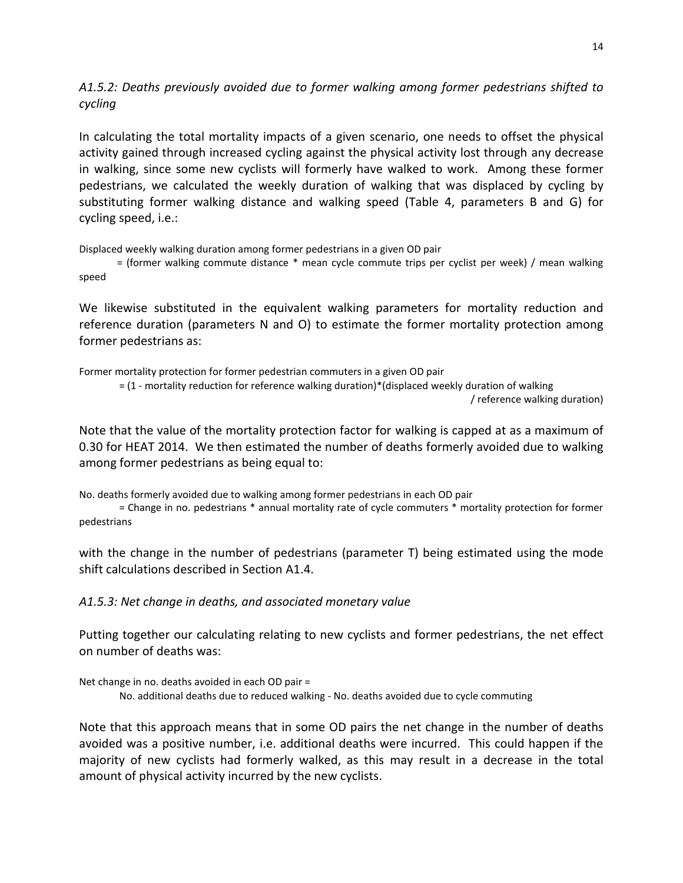## *A1.5.2: Deaths previously avoided due to former walking among former pedestrians shifted to cycling*

In calculating the total mortality impacts of a given scenario, one needs to offset the physical activity gained through increased cycling against the physical activity lost through any decrease in walking, since some new cyclists will formerly have walked to work. Among these former pedestrians, we calculated the weekly duration of walking that was displaced by cycling by substituting former walking distance and walking speed [\(Table 4,](#page-14-0) parameters B and G) for cycling speed, i.e.:

Displaced weekly walking duration among former pedestrians in a given OD pair

 = (former walking commute distance \* mean cycle commute trips per cyclist per week) / mean walking speed

We likewise substituted in the equivalent walking parameters for mortality reduction and reference duration (parameters N and O) to estimate the former mortality protection among former pedestrians as:

Former mortality protection for former pedestrian commuters in a given OD pair = (1 - mortality reduction for reference walking duration)\*(displaced weekly duration of walking / reference walking duration)

Note that the value of the mortality protection factor for walking is capped at as a maximum of 0.30 for HEAT 2014. We then estimated the number of deaths formerly avoided due to walking among former pedestrians as being equal to:

No. deaths formerly avoided due to walking among former pedestrians in each OD pair

= Change in no. pedestrians \* annual mortality rate of cycle commuters \* mortality protection for former pedestrians

with the change in the number of pedestrians (parameter T) being estimated using the mode shift calculations described in Section A1.4.

*A1.5.3: Net change in deaths, and associated monetary value*

Putting together our calculating relating to new cyclists and former pedestrians, the net effect on number of deaths was:

```
Net change in no. deaths avoided in each OD pair =
        No. additional deaths due to reduced walking - No. deaths avoided due to cycle commuting
```
Note that this approach means that in some OD pairs the net change in the number of deaths avoided was a positive number, i.e. additional deaths were incurred. This could happen if the majority of new cyclists had formerly walked, as this may result in a decrease in the total amount of physical activity incurred by the new cyclists.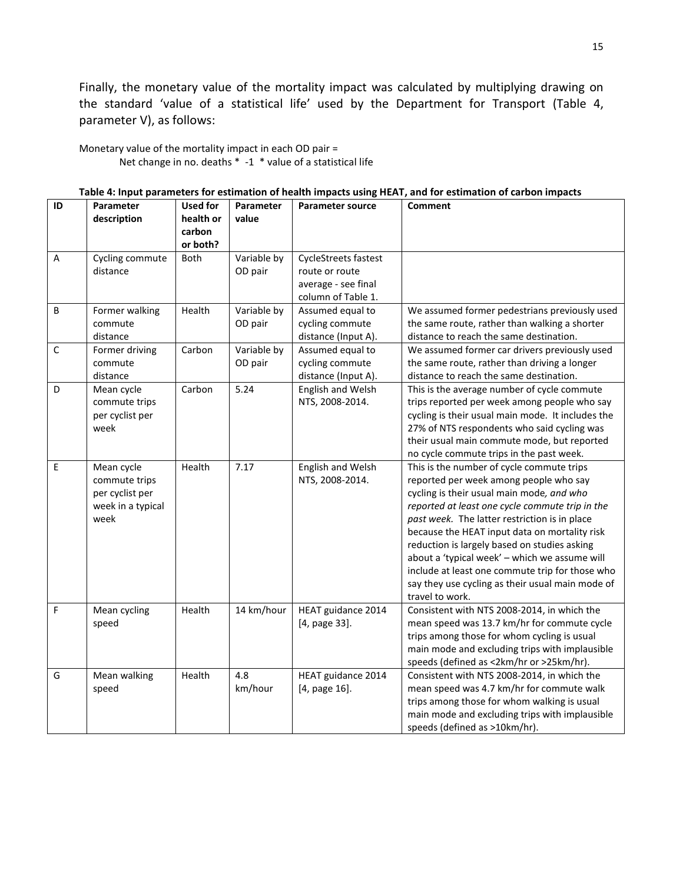Finally, the monetary value of the mortality impact was calculated by multiplying drawing on the standard 'value of a statistical life' used by the Department for Transport [\(Table 4,](#page-14-0) parameter V), as follows:

Monetary value of the mortality impact in each OD pair = Net change in no. deaths \* -1 \* value of a statistical life

| ID          | Parameter<br>description                                                    | <b>Used for</b><br>health or<br>carbon<br>or both? | Parameter<br>value     | <b>Parameter source</b>                                                                    | Comment                                                                                                                                                                                                                                                                                                                                                                                                                                                                                                          |
|-------------|-----------------------------------------------------------------------------|----------------------------------------------------|------------------------|--------------------------------------------------------------------------------------------|------------------------------------------------------------------------------------------------------------------------------------------------------------------------------------------------------------------------------------------------------------------------------------------------------------------------------------------------------------------------------------------------------------------------------------------------------------------------------------------------------------------|
| Α           | Cycling commute<br>distance                                                 | <b>Both</b>                                        | Variable by<br>OD pair | <b>CycleStreets fastest</b><br>route or route<br>average - see final<br>column of Table 1. |                                                                                                                                                                                                                                                                                                                                                                                                                                                                                                                  |
| B           | Former walking<br>commute<br>distance                                       | Health                                             | Variable by<br>OD pair | Assumed equal to<br>cycling commute<br>distance (Input A).                                 | We assumed former pedestrians previously used<br>the same route, rather than walking a shorter<br>distance to reach the same destination.                                                                                                                                                                                                                                                                                                                                                                        |
| $\mathsf C$ | Former driving<br>commute<br>distance                                       | Carbon                                             | Variable by<br>OD pair | Assumed equal to<br>cycling commute<br>distance (Input A).                                 | We assumed former car drivers previously used<br>the same route, rather than driving a longer<br>distance to reach the same destination.                                                                                                                                                                                                                                                                                                                                                                         |
| D           | Mean cycle<br>commute trips<br>per cyclist per<br>week                      | Carbon                                             | 5.24                   | English and Welsh<br>NTS, 2008-2014.                                                       | This is the average number of cycle commute<br>trips reported per week among people who say<br>cycling is their usual main mode. It includes the<br>27% of NTS respondents who said cycling was<br>their usual main commute mode, but reported<br>no cycle commute trips in the past week.                                                                                                                                                                                                                       |
| E           | Mean cycle<br>commute trips<br>per cyclist per<br>week in a typical<br>week | Health                                             | 7.17                   | English and Welsh<br>NTS, 2008-2014.                                                       | This is the number of cycle commute trips<br>reported per week among people who say<br>cycling is their usual main mode, and who<br>reported at least one cycle commute trip in the<br>past week. The latter restriction is in place<br>because the HEAT input data on mortality risk<br>reduction is largely based on studies asking<br>about a 'typical week' - which we assume will<br>include at least one commute trip for those who<br>say they use cycling as their usual main mode of<br>travel to work. |
| F           | Mean cycling<br>speed                                                       | Health                                             | 14 km/hour             | HEAT guidance 2014<br>[4, page 33].                                                        | Consistent with NTS 2008-2014, in which the<br>mean speed was 13.7 km/hr for commute cycle<br>trips among those for whom cycling is usual<br>main mode and excluding trips with implausible<br>speeds (defined as <2km/hr or >25km/hr).                                                                                                                                                                                                                                                                          |
| G           | Mean walking<br>speed                                                       | Health                                             | 4.8<br>km/hour         | HEAT guidance 2014<br>[4, page 16].                                                        | Consistent with NTS 2008-2014, in which the<br>mean speed was 4.7 km/hr for commute walk<br>trips among those for whom walking is usual<br>main mode and excluding trips with implausible<br>speeds (defined as >10km/hr).                                                                                                                                                                                                                                                                                       |

<span id="page-14-0"></span>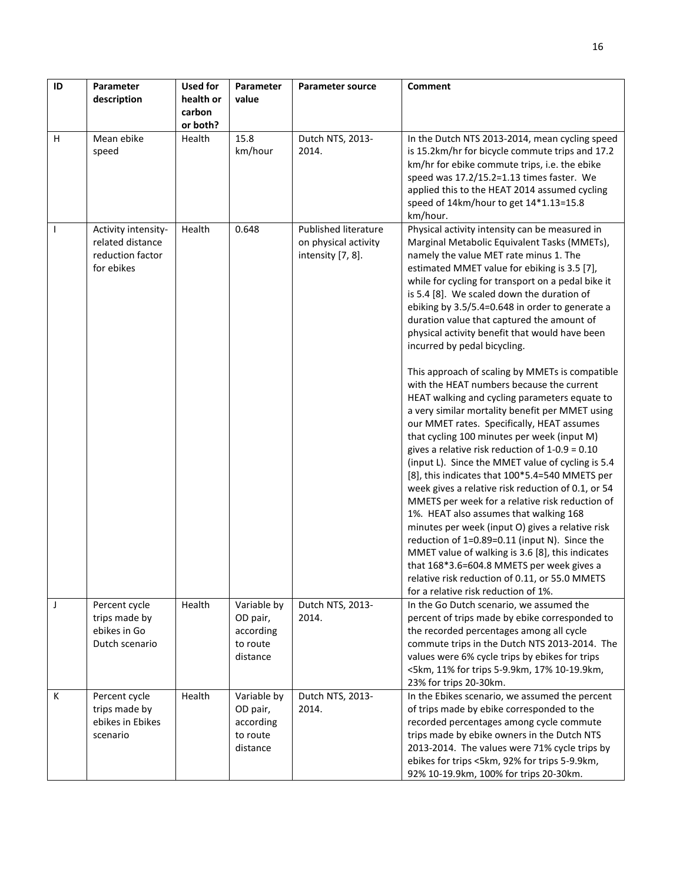| ID | Parameter<br>description                                                  | <b>Used for</b><br>health or<br>carbon<br>or both? | Parameter<br>value                                           | <b>Parameter source</b>                                                  | Comment                                                                                                                                                                                                                                                                                                                                                                                                                                                                                                                                                                                                                                                                                                                                                                                                                                                                                                                                                                                                                                                                                                                                                                                                                                                                                                                                                                                         |
|----|---------------------------------------------------------------------------|----------------------------------------------------|--------------------------------------------------------------|--------------------------------------------------------------------------|-------------------------------------------------------------------------------------------------------------------------------------------------------------------------------------------------------------------------------------------------------------------------------------------------------------------------------------------------------------------------------------------------------------------------------------------------------------------------------------------------------------------------------------------------------------------------------------------------------------------------------------------------------------------------------------------------------------------------------------------------------------------------------------------------------------------------------------------------------------------------------------------------------------------------------------------------------------------------------------------------------------------------------------------------------------------------------------------------------------------------------------------------------------------------------------------------------------------------------------------------------------------------------------------------------------------------------------------------------------------------------------------------|
| н  | Mean ebike<br>speed                                                       | Health                                             | 15.8<br>km/hour                                              | Dutch NTS, 2013-<br>2014.                                                | In the Dutch NTS 2013-2014, mean cycling speed<br>is 15.2km/hr for bicycle commute trips and 17.2<br>km/hr for ebike commute trips, i.e. the ebike<br>speed was 17.2/15.2=1.13 times faster. We<br>applied this to the HEAT 2014 assumed cycling<br>speed of 14km/hour to get 14*1.13=15.8<br>km/hour.                                                                                                                                                                                                                                                                                                                                                                                                                                                                                                                                                                                                                                                                                                                                                                                                                                                                                                                                                                                                                                                                                          |
|    | Activity intensity-<br>related distance<br>reduction factor<br>for ebikes | Health                                             | 0.648                                                        | <b>Published literature</b><br>on physical activity<br>intensity [7, 8]. | Physical activity intensity can be measured in<br>Marginal Metabolic Equivalent Tasks (MMETs),<br>namely the value MET rate minus 1. The<br>estimated MMET value for ebiking is 3.5 [7],<br>while for cycling for transport on a pedal bike it<br>is 5.4 [8]. We scaled down the duration of<br>ebiking by 3.5/5.4=0.648 in order to generate a<br>duration value that captured the amount of<br>physical activity benefit that would have been<br>incurred by pedal bicycling.<br>This approach of scaling by MMETs is compatible<br>with the HEAT numbers because the current<br>HEAT walking and cycling parameters equate to<br>a very similar mortality benefit per MMET using<br>our MMET rates. Specifically, HEAT assumes<br>that cycling 100 minutes per week (input M)<br>gives a relative risk reduction of $1-0.9 = 0.10$<br>(input L). Since the MMET value of cycling is 5.4<br>[8], this indicates that 100*5.4=540 MMETS per<br>week gives a relative risk reduction of 0.1, or 54<br>MMETS per week for a relative risk reduction of<br>1%. HEAT also assumes that walking 168<br>minutes per week (input O) gives a relative risk<br>reduction of 1=0.89=0.11 (input N). Since the<br>MMET value of walking is 3.6 [8], this indicates<br>that 168*3.6=604.8 MMETS per week gives a<br>relative risk reduction of 0.11, or 55.0 MMETS<br>for a relative risk reduction of 1%. |
| J  | Percent cycle<br>trips made by<br>ebikes in Go<br>Dutch scenario          | Health                                             | Variable by<br>OD pair,<br>according<br>to route<br>distance | Dutch NTS, 2013-<br>2014.                                                | In the Go Dutch scenario, we assumed the<br>percent of trips made by ebike corresponded to<br>the recorded percentages among all cycle<br>commute trips in the Dutch NTS 2013-2014. The<br>values were 6% cycle trips by ebikes for trips<br><5km, 11% for trips 5-9.9km, 17% 10-19.9km,<br>23% for trips 20-30km.                                                                                                                                                                                                                                                                                                                                                                                                                                                                                                                                                                                                                                                                                                                                                                                                                                                                                                                                                                                                                                                                              |
| К  | Percent cycle<br>trips made by<br>ebikes in Ebikes<br>scenario            | Health                                             | Variable by<br>OD pair,<br>according<br>to route<br>distance | Dutch NTS, 2013-<br>2014.                                                | In the Ebikes scenario, we assumed the percent<br>of trips made by ebike corresponded to the<br>recorded percentages among cycle commute<br>trips made by ebike owners in the Dutch NTS<br>2013-2014. The values were 71% cycle trips by<br>ebikes for trips <5km, 92% for trips 5-9.9km,<br>92% 10-19.9km, 100% for trips 20-30km.                                                                                                                                                                                                                                                                                                                                                                                                                                                                                                                                                                                                                                                                                                                                                                                                                                                                                                                                                                                                                                                             |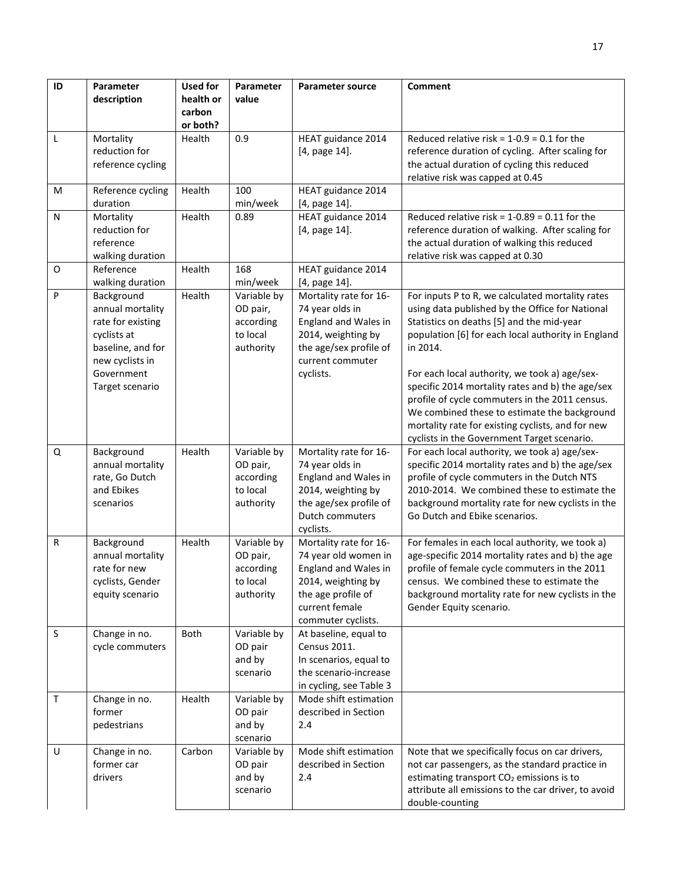| ID | Parameter<br>description                                                                                                                    | <b>Used for</b><br>health or<br>carbon<br>or both? | Parameter<br>value                                            | <b>Parameter source</b>                                                                                                                                    | Comment                                                                                                                                                                                                                                                                                                                                                                                                                   |
|----|---------------------------------------------------------------------------------------------------------------------------------------------|----------------------------------------------------|---------------------------------------------------------------|------------------------------------------------------------------------------------------------------------------------------------------------------------|---------------------------------------------------------------------------------------------------------------------------------------------------------------------------------------------------------------------------------------------------------------------------------------------------------------------------------------------------------------------------------------------------------------------------|
| L  | Mortality<br>reduction for<br>reference cycling                                                                                             | Health                                             | 0.9                                                           | HEAT guidance 2014<br>[4, page 14].                                                                                                                        | Reduced relative risk = $1-0.9 = 0.1$ for the<br>reference duration of cycling. After scaling for<br>the actual duration of cycling this reduced<br>relative risk was capped at 0.45                                                                                                                                                                                                                                      |
| M  | Reference cycling<br>duration                                                                                                               | Health                                             | 100<br>min/week                                               | HEAT guidance 2014<br>[4, page 14].                                                                                                                        |                                                                                                                                                                                                                                                                                                                                                                                                                           |
| N  | Mortality<br>reduction for<br>reference<br>walking duration                                                                                 | Health                                             | 0.89                                                          | HEAT guidance 2014<br>[4, page 14].                                                                                                                        | Reduced relative risk = $1-0.89 = 0.11$ for the<br>reference duration of walking. After scaling for<br>the actual duration of walking this reduced<br>relative risk was capped at 0.30                                                                                                                                                                                                                                    |
| O  | Reference<br>walking duration                                                                                                               | Health                                             | 168<br>min/week                                               | HEAT guidance 2014<br>[4, page 14].                                                                                                                        |                                                                                                                                                                                                                                                                                                                                                                                                                           |
| P  | Background<br>annual mortality<br>rate for existing<br>cyclists at<br>baseline, and for<br>new cyclists in<br>Government<br>Target scenario | Health                                             | Variable by<br>OD pair,<br>according<br>to local<br>authority | Mortality rate for 16-<br>74 year olds in<br>England and Wales in<br>2014, weighting by<br>the age/sex profile of<br>current commuter<br>cyclists.         | For inputs P to R, we calculated mortality rates<br>using data published by the Office for National<br>Statistics on deaths [5] and the mid-year<br>population [6] for each local authority in England<br>in 2014.<br>For each local authority, we took a) age/sex-<br>specific 2014 mortality rates and b) the age/sex<br>profile of cycle commuters in the 2011 census.<br>We combined these to estimate the background |
|    |                                                                                                                                             |                                                    |                                                               |                                                                                                                                                            | mortality rate for existing cyclists, and for new<br>cyclists in the Government Target scenario.                                                                                                                                                                                                                                                                                                                          |
| Q  | Background<br>annual mortality<br>rate, Go Dutch<br>and Ebikes<br>scenarios                                                                 | Health                                             | Variable by<br>OD pair,<br>according<br>to local<br>authority | Mortality rate for 16-<br>74 year olds in<br>England and Wales in<br>2014, weighting by<br>the age/sex profile of<br>Dutch commuters<br>cyclists.          | For each local authority, we took a) age/sex-<br>specific 2014 mortality rates and b) the age/sex<br>profile of cycle commuters in the Dutch NTS<br>2010-2014. We combined these to estimate the<br>background mortality rate for new cyclists in the<br>Go Dutch and Ebike scenarios.                                                                                                                                    |
| R  | Background<br>annual mortality<br>rate for new<br>cyclists, Gender<br>equity scenario                                                       | Health                                             | Variable by<br>OD pair,<br>according<br>to local<br>authority | Mortality rate for 16-<br>74 year old women in<br>England and Wales in<br>2014, weighting by<br>the age profile of<br>current female<br>commuter cyclists. | For females in each local authority, we took a)<br>age-specific 2014 mortality rates and b) the age<br>profile of female cycle commuters in the 2011<br>census. We combined these to estimate the<br>background mortality rate for new cyclists in the<br>Gender Equity scenario.                                                                                                                                         |
| S  | Change in no.<br>cycle commuters                                                                                                            | <b>Both</b>                                        | Variable by<br>OD pair<br>and by<br>scenario                  | At baseline, equal to<br>Census 2011.<br>In scenarios, equal to<br>the scenario-increase<br>in cycling, see Table 3                                        |                                                                                                                                                                                                                                                                                                                                                                                                                           |
| Τ  | Change in no.<br>former<br>pedestrians                                                                                                      | Health                                             | Variable by<br>OD pair<br>and by<br>scenario                  | Mode shift estimation<br>described in Section<br>2.4                                                                                                       |                                                                                                                                                                                                                                                                                                                                                                                                                           |
| U  | Change in no.<br>former car<br>drivers                                                                                                      | Carbon                                             | Variable by<br>OD pair<br>and by<br>scenario                  | Mode shift estimation<br>described in Section<br>2.4                                                                                                       | Note that we specifically focus on car drivers,<br>not car passengers, as the standard practice in<br>estimating transport CO <sub>2</sub> emissions is to<br>attribute all emissions to the car driver, to avoid<br>double-counting                                                                                                                                                                                      |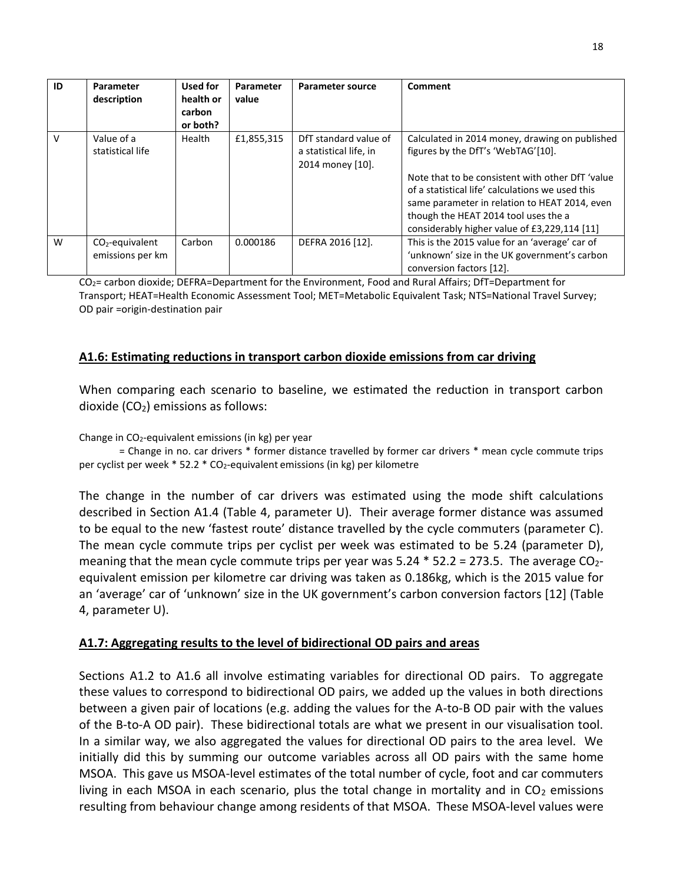| ID     | <b>Parameter</b><br>description       | Used for<br>health or<br>carbon<br>or both? | Parameter<br>value | Parameter source                                                    | Comment                                                                                                                                                                                                                                                                                                                               |
|--------|---------------------------------------|---------------------------------------------|--------------------|---------------------------------------------------------------------|---------------------------------------------------------------------------------------------------------------------------------------------------------------------------------------------------------------------------------------------------------------------------------------------------------------------------------------|
| $\vee$ | Value of a<br>statistical life        | Health                                      | £1,855,315         | DfT standard value of<br>a statistical life, in<br>2014 money [10]. | Calculated in 2014 money, drawing on published<br>figures by the DfT's 'WebTAG'[10].<br>Note that to be consistent with other DfT 'value<br>of a statistical life' calculations we used this<br>same parameter in relation to HEAT 2014, even<br>though the HEAT 2014 tool uses the a<br>considerably higher value of £3,229,114 [11] |
| W      | $CO2$ -equivalent<br>emissions per km | Carbon                                      | 0.000186           | DEFRA 2016 [12].                                                    | This is the 2015 value for an 'average' car of<br>'unknown' size in the UK government's carbon<br>conversion factors [12].                                                                                                                                                                                                            |

CO2= carbon dioxide; DEFRA=Department for the Environment, Food and Rural Affairs; DfT=Department for Transport; HEAT=Health Economic Assessment Tool; MET=Metabolic Equivalent Task; NTS=National Travel Survey; OD pair =origin-destination pair

## **A1.6: Estimating reductions in transport carbon dioxide emissions from car driving**

When comparing each scenario to baseline, we estimated the reduction in transport carbon dioxide  $(CO<sub>2</sub>)$  emissions as follows:

Change in CO2-equivalent emissions (in kg) per year

= Change in no. car drivers \* former distance travelled by former car drivers \* mean cycle commute trips per cyclist per week \* 52.2 \* CO2-equivalent emissions (in kg) per kilometre

The change in the number of car drivers was estimated using the mode shift calculations described in Section A1.4 [\(Table 4,](#page-14-0) parameter U). Their average former distance was assumed to be equal to the new 'fastest route' distance travelled by the cycle commuters (parameter C). The mean cycle commute trips per cyclist per week was estimated to be 5.24 (parameter D), meaning that the mean cycle commute trips per year was  $5.24 * 52.2 = 273.5$ . The average  $CO<sub>2</sub>$ equivalent emission per kilometre car driving was taken as 0.186kg, which is the 2015 value for an 'average' car of 'unknown' size in the UK government's carbon conversion factors [\[12\]](#page-18-10) [\(Table](#page-14-0)  [4,](#page-14-0) parameter U).

### **A1.7: Aggregating results to the level of bidirectional OD pairs and areas**

Sections A1.2 to A1.6 all involve estimating variables for directional OD pairs. To aggregate these values to correspond to bidirectional OD pairs, we added up the values in both directions between a given pair of locations (e.g. adding the values for the A-to-B OD pair with the values of the B-to-A OD pair). These bidirectional totals are what we present in our visualisation tool. In a similar way, we also aggregated the values for directional OD pairs to the area level. We initially did this by summing our outcome variables across all OD pairs with the same home MSOA. This gave us MSOA-level estimates of the total number of cycle, foot and car commuters living in each MSOA in each scenario, plus the total change in mortality and in  $CO<sub>2</sub>$  emissions resulting from behaviour change among residents of that MSOA. These MSOA-level values were